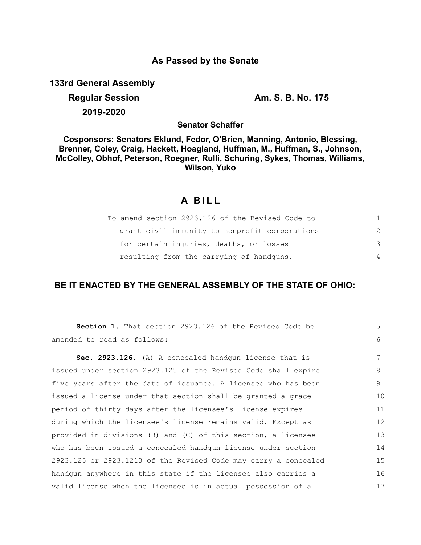# **As Passed by the Senate**

**133rd General Assembly**

**Regular Session Am. S. B. No. 175 2019-2020**

**Senator Schaffer**

**Cosponsors: Senators Eklund, Fedor, O'Brien, Manning, Antonio, Blessing, Brenner, Coley, Craig, Hackett, Hoagland, Huffman, M., Huffman, S., Johnson, McColley, Obhof, Peterson, Roegner, Rulli, Schuring, Sykes, Thomas, Williams, Wilson, Yuko**

# **A B I L L**

| To amend section 2923.126 of the Revised Code to |                |
|--------------------------------------------------|----------------|
| grant civil immunity to nonprofit corporations   | $\mathcal{P}$  |
| for certain injuries, deaths, or losses          | 3              |
| resulting from the carrying of handguns.         | $\overline{4}$ |

# **BE IT ENACTED BY THE GENERAL ASSEMBLY OF THE STATE OF OHIO:**

| <b>Section 1.</b> That section 2923.126 of the Revised Code be  | 5  |
|-----------------------------------------------------------------|----|
| amended to read as follows:                                     | 6  |
| Sec. 2923.126. (A) A concealed handqun license that is          | 7  |
| issued under section 2923.125 of the Revised Code shall expire  | 8  |
| five years after the date of issuance. A licensee who has been  | 9  |
| issued a license under that section shall be granted a grace    | 10 |
| period of thirty days after the licensee's license expires      | 11 |
| during which the licensee's license remains valid. Except as    | 12 |
| provided in divisions (B) and (C) of this section, a licensee   | 13 |
| who has been issued a concealed handqun license under section   | 14 |
| 2923.125 or 2923.1213 of the Revised Code may carry a concealed | 15 |
| handqun anywhere in this state if the licensee also carries a   | 16 |
| valid license when the licensee is in actual possession of a    | 17 |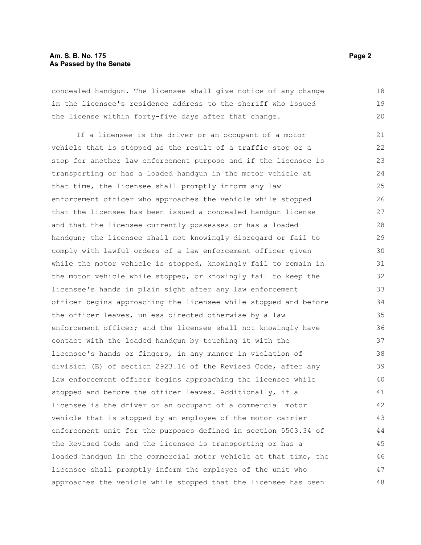# **Am. S. B. No. 175 Page 2 As Passed by the Senate**

concealed handgun. The licensee shall give notice of any change in the licensee's residence address to the sheriff who issued the license within forty-five days after that change. 18 19  $20$ 

If a licensee is the driver or an occupant of a motor vehicle that is stopped as the result of a traffic stop or a stop for another law enforcement purpose and if the licensee is transporting or has a loaded handgun in the motor vehicle at that time, the licensee shall promptly inform any law enforcement officer who approaches the vehicle while stopped that the licensee has been issued a concealed handgun license and that the licensee currently possesses or has a loaded handgun; the licensee shall not knowingly disregard or fail to comply with lawful orders of a law enforcement officer given while the motor vehicle is stopped, knowingly fail to remain in the motor vehicle while stopped, or knowingly fail to keep the licensee's hands in plain sight after any law enforcement officer begins approaching the licensee while stopped and before the officer leaves, unless directed otherwise by a law enforcement officer; and the licensee shall not knowingly have contact with the loaded handgun by touching it with the licensee's hands or fingers, in any manner in violation of division (E) of section 2923.16 of the Revised Code, after any law enforcement officer begins approaching the licensee while stopped and before the officer leaves. Additionally, if a licensee is the driver or an occupant of a commercial motor vehicle that is stopped by an employee of the motor carrier enforcement unit for the purposes defined in section 5503.34 of the Revised Code and the licensee is transporting or has a loaded handgun in the commercial motor vehicle at that time, the licensee shall promptly inform the employee of the unit who approaches the vehicle while stopped that the licensee has been 21 22 23  $24$ 25 26 27 28 29 30 31 32 33 34 35 36 37 38 39 40 41 42 43 44 45 46 47 48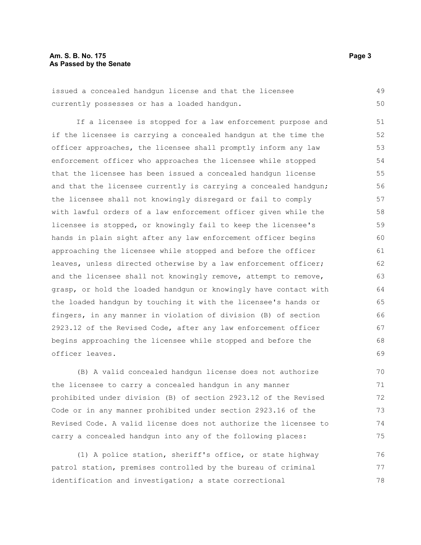# **Am. S. B. No. 175 Page 3 As Passed by the Senate**

issued a concealed handgun license and that the licensee currently possesses or has a loaded handgun. 49 50

If a licensee is stopped for a law enforcement purpose and if the licensee is carrying a concealed handgun at the time the officer approaches, the licensee shall promptly inform any law enforcement officer who approaches the licensee while stopped that the licensee has been issued a concealed handgun license and that the licensee currently is carrying a concealed handgun; the licensee shall not knowingly disregard or fail to comply with lawful orders of a law enforcement officer given while the licensee is stopped, or knowingly fail to keep the licensee's hands in plain sight after any law enforcement officer begins approaching the licensee while stopped and before the officer leaves, unless directed otherwise by a law enforcement officer; and the licensee shall not knowingly remove, attempt to remove, grasp, or hold the loaded handgun or knowingly have contact with the loaded handgun by touching it with the licensee's hands or fingers, in any manner in violation of division (B) of section 2923.12 of the Revised Code, after any law enforcement officer begins approaching the licensee while stopped and before the officer leaves. 51 52 53 54 55 56 57 58 59 60 61 62 63 64 65 66 67 68 69

(B) A valid concealed handgun license does not authorize the licensee to carry a concealed handgun in any manner prohibited under division (B) of section 2923.12 of the Revised Code or in any manner prohibited under section 2923.16 of the Revised Code. A valid license does not authorize the licensee to carry a concealed handgun into any of the following places: 70 71 72 73 74 75

(1) A police station, sheriff's office, or state highway patrol station, premises controlled by the bureau of criminal identification and investigation; a state correctional 76 77 78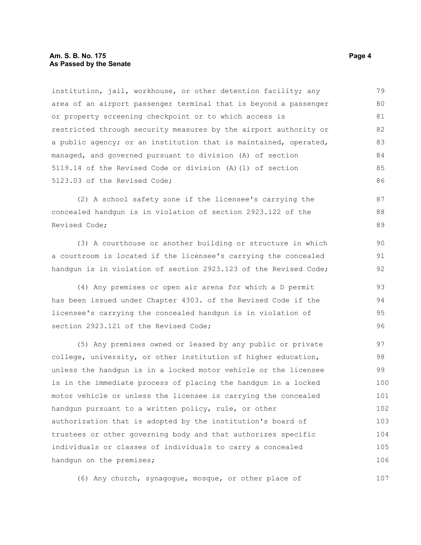institution, jail, workhouse, or other detention facility; any area of an airport passenger terminal that is beyond a passenger or property screening checkpoint or to which access is restricted through security measures by the airport authority or a public agency; or an institution that is maintained, operated, managed, and governed pursuant to division (A) of section 5119.14 of the Revised Code or division (A)(1) of section 5123.03 of the Revised Code; 79 80 81 82 83 84 85 86

(2) A school safety zone if the licensee's carrying the concealed handgun is in violation of section 2923.122 of the Revised Code;

(3) A courthouse or another building or structure in which a courtroom is located if the licensee's carrying the concealed handgun is in violation of section 2923.123 of the Revised Code;

(4) Any premises or open air arena for which a D permit has been issued under Chapter 4303. of the Revised Code if the licensee's carrying the concealed handgun is in violation of section 2923.121 of the Revised Code;

(5) Any premises owned or leased by any public or private college, university, or other institution of higher education, unless the handgun is in a locked motor vehicle or the licensee is in the immediate process of placing the handgun in a locked motor vehicle or unless the licensee is carrying the concealed handgun pursuant to a written policy, rule, or other authorization that is adopted by the institution's board of trustees or other governing body and that authorizes specific individuals or classes of individuals to carry a concealed handgun on the premises; 97 98 99 100 101 102 103 104 105 106

(6) Any church, synagogue, mosque, or other place of

87 88 89

90 91 92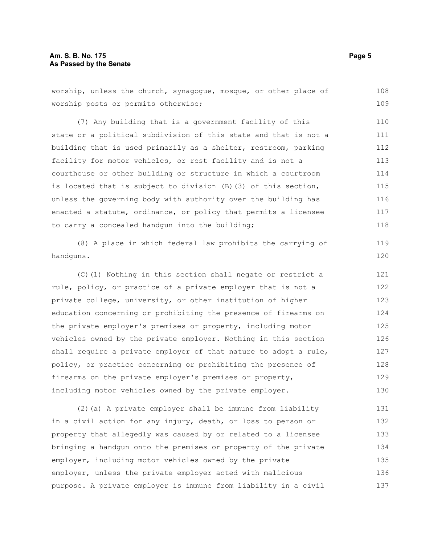# **Am. S. B. No. 175 Page 5 As Passed by the Senate**

worship, unless the church, synagogue, mosque, or other place of worship posts or permits otherwise; (7) Any building that is a government facility of this state or a political subdivision of this state and that is not a building that is used primarily as a shelter, restroom, parking facility for motor vehicles, or rest facility and is not a courthouse or other building or structure in which a courtroom is located that is subject to division (B)(3) of this section, unless the governing body with authority over the building has enacted a statute, ordinance, or policy that permits a licensee to carry a concealed handgun into the building; (8) A place in which federal law prohibits the carrying of handguns. (C)(1) Nothing in this section shall negate or restrict a rule, policy, or practice of a private employer that is not a private college, university, or other institution of higher education concerning or prohibiting the presence of firearms on the private employer's premises or property, including motor vehicles owned by the private employer. Nothing in this section shall require a private employer of that nature to adopt a rule, policy, or practice concerning or prohibiting the presence of firearms on the private employer's premises or property, including motor vehicles owned by the private employer. (2)(a) A private employer shall be immune from liability 108 109 110 111 112 113 114 115 116 117 118 119 120 121 122 123 124 125 126 127 128 129 130 131 132

in a civil action for any injury, death, or loss to person or property that allegedly was caused by or related to a licensee bringing a handgun onto the premises or property of the private employer, including motor vehicles owned by the private employer, unless the private employer acted with malicious purpose. A private employer is immune from liability in a civil 133 134 135 136 137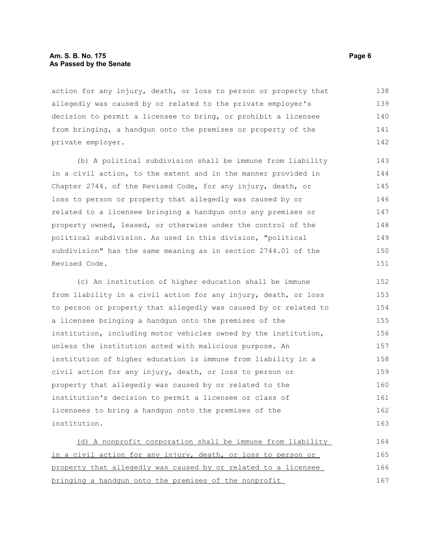#### **Am. S. B. No. 175 Page 6 As Passed by the Senate**

action for any injury, death, or loss to person or property that allegedly was caused by or related to the private employer's decision to permit a licensee to bring, or prohibit a licensee from bringing, a handgun onto the premises or property of the private employer. 138 139 140 141 142

(b) A political subdivision shall be immune from liability in a civil action, to the extent and in the manner provided in Chapter 2744. of the Revised Code, for any injury, death, or loss to person or property that allegedly was caused by or related to a licensee bringing a handgun onto any premises or property owned, leased, or otherwise under the control of the political subdivision. As used in this division, "political subdivision" has the same meaning as in section 2744.01 of the Revised Code. 143 144 145 146 147 148 149 150 151

(c) An institution of higher education shall be immune from liability in a civil action for any injury, death, or loss to person or property that allegedly was caused by or related to a licensee bringing a handgun onto the premises of the institution, including motor vehicles owned by the institution, unless the institution acted with malicious purpose. An institution of higher education is immune from liability in a civil action for any injury, death, or loss to person or property that allegedly was caused by or related to the institution's decision to permit a licensee or class of licensees to bring a handgun onto the premises of the institution. 152 153 154 155 156 157 158 159 160 161 162 163

 (d) A nonprofit corporation shall be immune from liability in a civil action for any injury, death, or loss to person or property that allegedly was caused by or related to a licensee bringing a handgun onto the premises of the nonprofit 164 165 166 167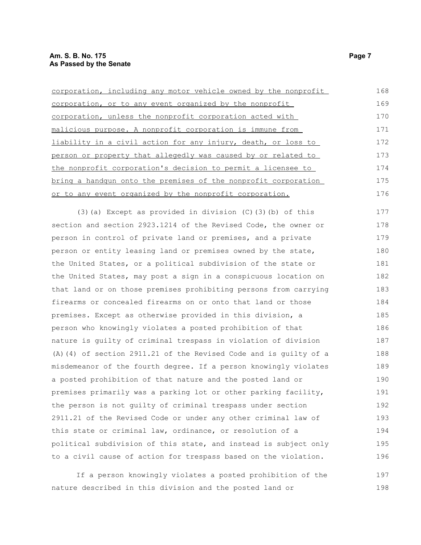| corporation, including any motor vehicle owned by the nonprofit     | 168 |
|---------------------------------------------------------------------|-----|
| corporation, or to any event organized by the nonprofit             |     |
| corporation, unless the nonprofit corporation acted with            | 170 |
| malicious purpose. A nonprofit corporation is immune from           | 171 |
| liability in a civil action for any injury, death, or loss to       | 172 |
| person or property that allegedly was caused by or related to       | 173 |
| the nonprofit corporation's decision to permit a licensee to        | 174 |
| bring a handgun onto the premises of the nonprofit corporation      | 175 |
| or to any event organized by the nonprofit corporation.             | 176 |
| $(3)$ (a) Except as provided in division $(C)$ $(3)$ (b) of this    | 177 |
| section and section 2923.1214 of the Revised Code, the owner or     | 178 |
| person in control of private land or premises, and a private        | 179 |
| person or entity leasing land or premises owned by the state,       | 180 |
| the United States, or a political subdivision of the state or       | 181 |
| the United States, may post a sign in a conspicuous location on     | 182 |
| that land or on those premises prohibiting persons from carrying    | 183 |
| firearms or concealed firearms on or onto that land or those        | 184 |
| premises. Except as otherwise provided in this division, a          | 185 |
| person who knowingly violates a posted prohibition of that          | 186 |
| nature is quilty of criminal trespass in violation of division      | 187 |
| $(A)$ (4) of section 2911.21 of the Revised Code and is guilty of a | 188 |
| misdemeanor of the fourth degree. If a person knowingly violates    | 189 |
| a posted prohibition of that nature and the posted land or          | 190 |
| premises primarily was a parking lot or other parking facility,     | 191 |
| the person is not guilty of criminal trespass under section         | 192 |
| 2911.21 of the Revised Code or under any other criminal law of      | 193 |
| this state or criminal law, ordinance, or resolution of a           | 194 |
| political subdivision of this state, and instead is subject only    | 195 |
| to a civil cause of action for trespass based on the violation.     | 196 |

If a person knowingly violates a posted prohibition of the nature described in this division and the posted land or 197 198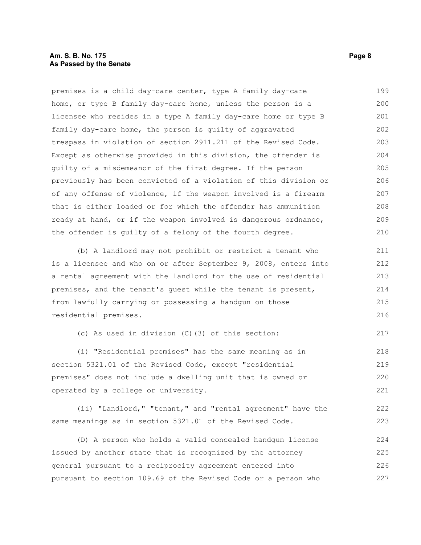# **Am. S. B. No. 175 Page 8 As Passed by the Senate**

premises is a child day-care center, type A family day-care home, or type B family day-care home, unless the person is a licensee who resides in a type A family day-care home or type B family day-care home, the person is guilty of aggravated trespass in violation of section 2911.211 of the Revised Code. Except as otherwise provided in this division, the offender is guilty of a misdemeanor of the first degree. If the person previously has been convicted of a violation of this division or of any offense of violence, if the weapon involved is a firearm that is either loaded or for which the offender has ammunition ready at hand, or if the weapon involved is dangerous ordnance, the offender is guilty of a felony of the fourth degree. 199 200 201 202 203 204 205 206 207 208 209 210

(b) A landlord may not prohibit or restrict a tenant who is a licensee and who on or after September 9, 2008, enters into a rental agreement with the landlord for the use of residential premises, and the tenant's guest while the tenant is present, from lawfully carrying or possessing a handgun on those residential premises.

```
(c) As used in division (C)(3) of this section:
```
(i) "Residential premises" has the same meaning as in section 5321.01 of the Revised Code, except "residential premises" does not include a dwelling unit that is owned or operated by a college or university. 218 219 220 221

(ii) "Landlord," "tenant," and "rental agreement" have the same meanings as in section 5321.01 of the Revised Code. 222 223

(D) A person who holds a valid concealed handgun license issued by another state that is recognized by the attorney general pursuant to a reciprocity agreement entered into pursuant to section 109.69 of the Revised Code or a person who 224 225 226 227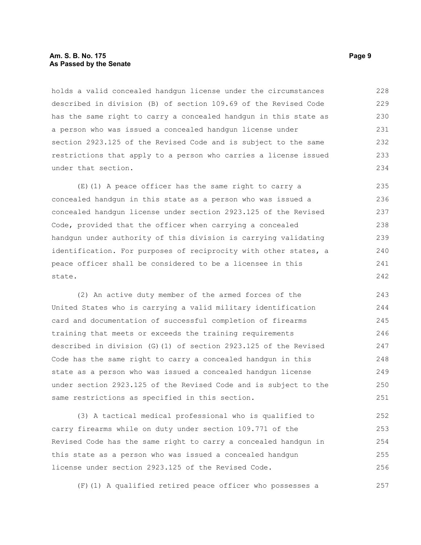## **Am. S. B. No. 175 Page 9 As Passed by the Senate**

holds a valid concealed handgun license under the circumstances described in division (B) of section 109.69 of the Revised Code has the same right to carry a concealed handgun in this state as a person who was issued a concealed handgun license under section 2923.125 of the Revised Code and is subject to the same restrictions that apply to a person who carries a license issued under that section. 228 229 230 231 232 233 234

(E)(1) A peace officer has the same right to carry a concealed handgun in this state as a person who was issued a concealed handgun license under section 2923.125 of the Revised Code, provided that the officer when carrying a concealed handgun under authority of this division is carrying validating identification. For purposes of reciprocity with other states, a peace officer shall be considered to be a licensee in this state. 235 236 237 238 239 240 241 242

(2) An active duty member of the armed forces of the United States who is carrying a valid military identification card and documentation of successful completion of firearms training that meets or exceeds the training requirements described in division (G)(1) of section 2923.125 of the Revised Code has the same right to carry a concealed handgun in this state as a person who was issued a concealed handgun license under section 2923.125 of the Revised Code and is subject to the same restrictions as specified in this section. 243 244 245 246 247 248 249 250 251

(3) A tactical medical professional who is qualified to carry firearms while on duty under section 109.771 of the Revised Code has the same right to carry a concealed handgun in this state as a person who was issued a concealed handgun license under section 2923.125 of the Revised Code. 252 253 254 255 256

(F)(1) A qualified retired peace officer who possesses a 257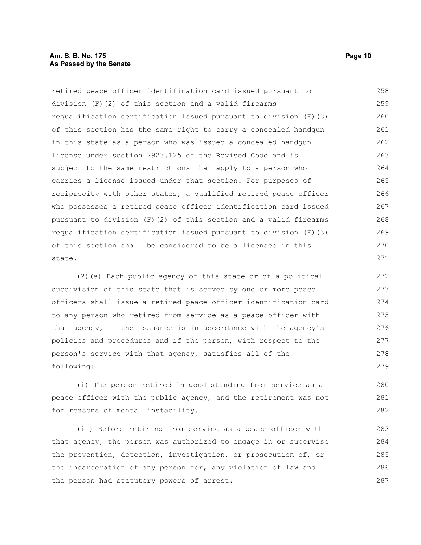### **Am. S. B. No. 175 Page 10 As Passed by the Senate**

retired peace officer identification card issued pursuant to division (F)(2) of this section and a valid firearms requalification certification issued pursuant to division (F)(3) of this section has the same right to carry a concealed handgun in this state as a person who was issued a concealed handgun license under section 2923.125 of the Revised Code and is subject to the same restrictions that apply to a person who carries a license issued under that section. For purposes of reciprocity with other states, a qualified retired peace officer who possesses a retired peace officer identification card issued pursuant to division (F)(2) of this section and a valid firearms requalification certification issued pursuant to division (F)(3) of this section shall be considered to be a licensee in this state. 258 259 260 261 262 263 264 265 266 267 268 269 270 271

(2)(a) Each public agency of this state or of a political subdivision of this state that is served by one or more peace officers shall issue a retired peace officer identification card to any person who retired from service as a peace officer with that agency, if the issuance is in accordance with the agency's policies and procedures and if the person, with respect to the person's service with that agency, satisfies all of the following:

(i) The person retired in good standing from service as a peace officer with the public agency, and the retirement was not for reasons of mental instability.

(ii) Before retiring from service as a peace officer with that agency, the person was authorized to engage in or supervise the prevention, detection, investigation, or prosecution of, or the incarceration of any person for, any violation of law and the person had statutory powers of arrest. 283 284 285 286 287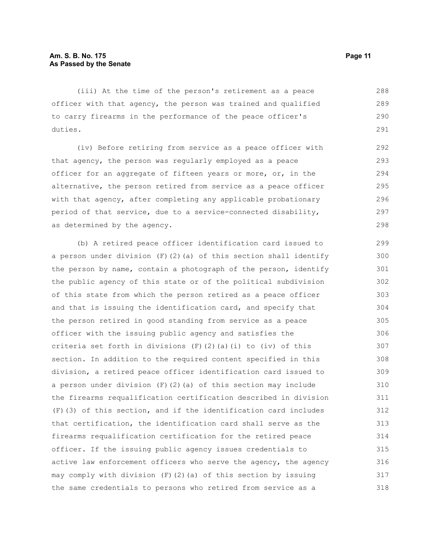(iii) At the time of the person's retirement as a peace officer with that agency, the person was trained and qualified to carry firearms in the performance of the peace officer's duties. 288 289 290 291

(iv) Before retiring from service as a peace officer with that agency, the person was regularly employed as a peace officer for an aggregate of fifteen years or more, or, in the alternative, the person retired from service as a peace officer with that agency, after completing any applicable probationary period of that service, due to a service-connected disability, as determined by the agency.

(b) A retired peace officer identification card issued to a person under division (F)(2)(a) of this section shall identify the person by name, contain a photograph of the person, identify the public agency of this state or of the political subdivision of this state from which the person retired as a peace officer and that is issuing the identification card, and specify that the person retired in good standing from service as a peace officer with the issuing public agency and satisfies the criteria set forth in divisions  $(F)$   $(2)$   $(a)$   $(i)$  to  $(iv)$  of this section. In addition to the required content specified in this division, a retired peace officer identification card issued to a person under division (F)(2)(a) of this section may include the firearms requalification certification described in division (F)(3) of this section, and if the identification card includes that certification, the identification card shall serve as the firearms requalification certification for the retired peace officer. If the issuing public agency issues credentials to active law enforcement officers who serve the agency, the agency may comply with division (F)(2)(a) of this section by issuing the same credentials to persons who retired from service as a 299 300 301 302 303 304 305 306 307 308 309 310 311 312 313 314 315 316 317 318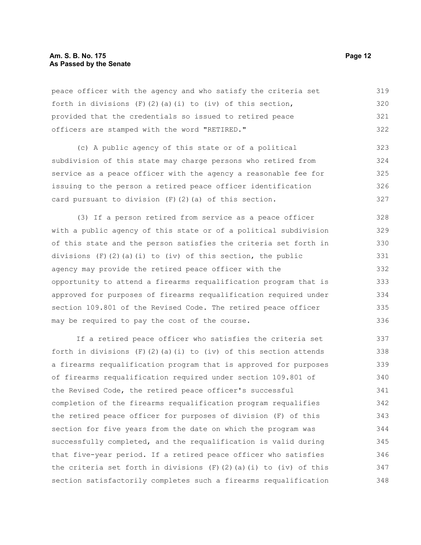peace officer with the agency and who satisfy the criteria set forth in divisions  $(F)(2)(a)(i)$  to (iv) of this section, provided that the credentials so issued to retired peace officers are stamped with the word "RETIRED." 319 320 321 322

(c) A public agency of this state or of a political subdivision of this state may charge persons who retired from service as a peace officer with the agency a reasonable fee for issuing to the person a retired peace officer identification card pursuant to division  $(F)$   $(2)$   $(a)$  of this section. 323 324 325 326 327

(3) If a person retired from service as a peace officer with a public agency of this state or of a political subdivision of this state and the person satisfies the criteria set forth in divisions  $(F)(2)(a)(i)$  to  $(iv)$  of this section, the public agency may provide the retired peace officer with the opportunity to attend a firearms requalification program that is approved for purposes of firearms requalification required under section 109.801 of the Revised Code. The retired peace officer may be required to pay the cost of the course. 328 329 330 331 332 333 334 335 336

If a retired peace officer who satisfies the criteria set forth in divisions  $(F)(2)(a)(i)$  to  $(iv)$  of this section attends a firearms requalification program that is approved for purposes of firearms requalification required under section 109.801 of the Revised Code, the retired peace officer's successful completion of the firearms requalification program requalifies the retired peace officer for purposes of division (F) of this section for five years from the date on which the program was successfully completed, and the requalification is valid during that five-year period. If a retired peace officer who satisfies the criteria set forth in divisions  $(F)(2)(a)(i)$  to  $(iv)$  of this section satisfactorily completes such a firearms requalification 337 338 339 340 341 342 343 344 345 346 347 348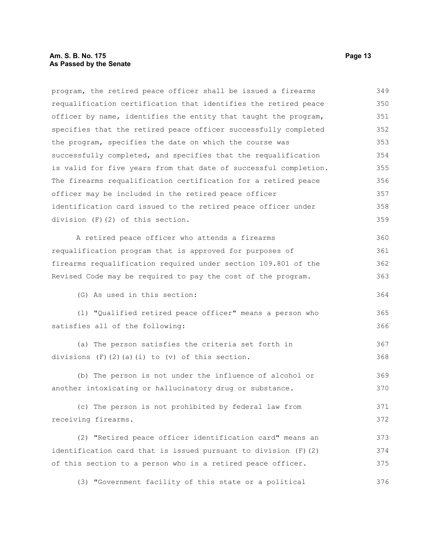# **Am. S. B. No. 175 Page 13 As Passed by the Senate**

program, the retired peace officer shall be issued a firearms requalification certification that identifies the retired peace officer by name, identifies the entity that taught the program, specifies that the retired peace officer successfully completed the program, specifies the date on which the course was successfully completed, and specifies that the requalification is valid for five years from that date of successful completion. The firearms requalification certification for a retired peace officer may be included in the retired peace officer identification card issued to the retired peace officer under division (F)(2) of this section. A retired peace officer who attends a firearms requalification program that is approved for purposes of firearms requalification required under section 109.801 of the Revised Code may be required to pay the cost of the program. (G) As used in this section: (1) "Qualified retired peace officer" means a person who satisfies all of the following: (a) The person satisfies the criteria set forth in divisions  $(F)$   $(2)$   $(a)$   $(i)$  to  $(v)$  of this section. (b) The person is not under the influence of alcohol or another intoxicating or hallucinatory drug or substance. (c) The person is not prohibited by federal law from receiving firearms. (2) "Retired peace officer identification card" means an identification card that is issued pursuant to division (F)(2) of this section to a person who is a retired peace officer. (3) "Government facility of this state or a political 349 350 351 352 353 354 355 356 357 358 359 360 361 362 363 364 365 366 367 368 369 370 371 372 373 374 375 376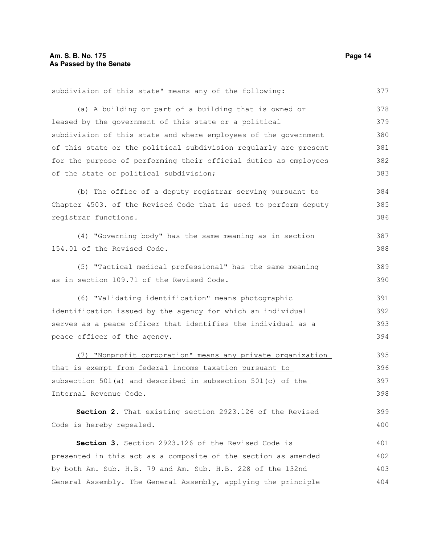subdivision of this state" means any of the following: (a) A building or part of a building that is owned or leased by the government of this state or a political subdivision of this state and where employees of the government of this state or the political subdivision regularly are present for the purpose of performing their official duties as employees of the state or political subdivision; (b) The office of a deputy registrar serving pursuant to Chapter 4503. of the Revised Code that is used to perform deputy registrar functions. (4) "Governing body" has the same meaning as in section 154.01 of the Revised Code. (5) "Tactical medical professional" has the same meaning as in section 109.71 of the Revised Code. (6) "Validating identification" means photographic identification issued by the agency for which an individual serves as a peace officer that identifies the individual as a peace officer of the agency. (7) "Nonprofit corporation" means any private organization that is exempt from federal income taxation pursuant to subsection 501(a) and described in subsection 501(c) of the Internal Revenue Code. **Section 2.** That existing section 2923.126 of the Revised Code is hereby repealed. **Section 3.** Section 2923.126 of the Revised Code is presented in this act as a composite of the section as amended by both Am. Sub. H.B. 79 and Am. Sub. H.B. 228 of the 132nd General Assembly. The General Assembly, applying the principle 377 378 379 380 381 382 383 384 385 386 387 388 389 390 391 392 393 394 395 396 397 398 399 400 401 402 403 404